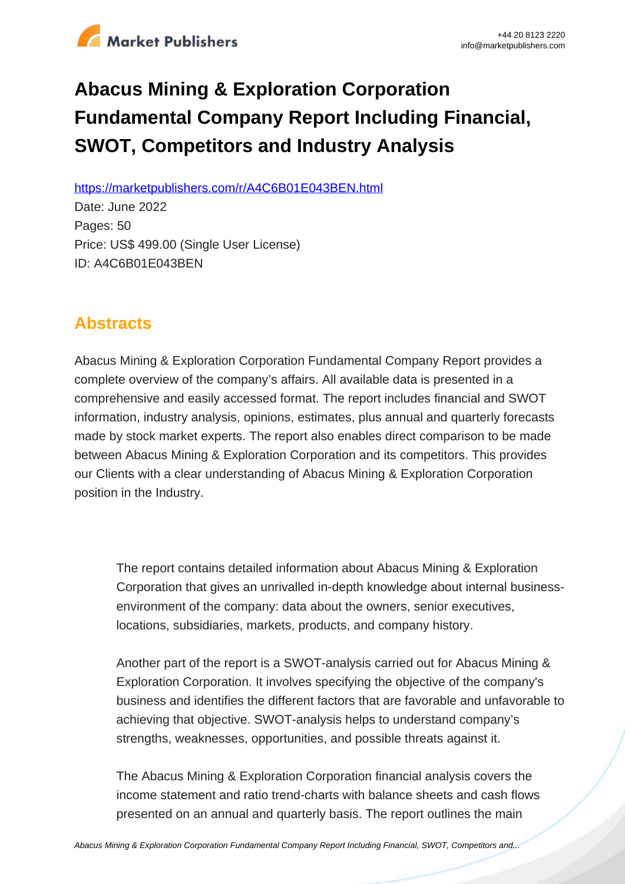

# **Abacus Mining & Exploration Corporation Fundamental Company Report Including Financial, SWOT, Competitors and Industry Analysis**

https://marketpublishers.com/r/A4C6B01E043BEN.html

Date: June 2022 Pages: 50 Price: US\$ 499.00 (Single User License) ID: A4C6B01E043BEN

# **Abstracts**

Abacus Mining & Exploration Corporation Fundamental Company Report provides a complete overview of the company's affairs. All available data is presented in a comprehensive and easily accessed format. The report includes financial and SWOT information, industry analysis, opinions, estimates, plus annual and quarterly forecasts made by stock market experts. The report also enables direct comparison to be made between Abacus Mining & Exploration Corporation and its competitors. This provides our Clients with a clear understanding of Abacus Mining & Exploration Corporation position in the Industry.

The report contains detailed information about Abacus Mining & Exploration Corporation that gives an unrivalled in-depth knowledge about internal businessenvironment of the company: data about the owners, senior executives, locations, subsidiaries, markets, products, and company history.

Another part of the report is a SWOT-analysis carried out for Abacus Mining & Exploration Corporation. It involves specifying the objective of the company's business and identifies the different factors that are favorable and unfavorable to achieving that objective. SWOT-analysis helps to understand company's strengths, weaknesses, opportunities, and possible threats against it.

The Abacus Mining & Exploration Corporation financial analysis covers the income statement and ratio trend-charts with balance sheets and cash flows presented on an annual and quarterly basis. The report outlines the main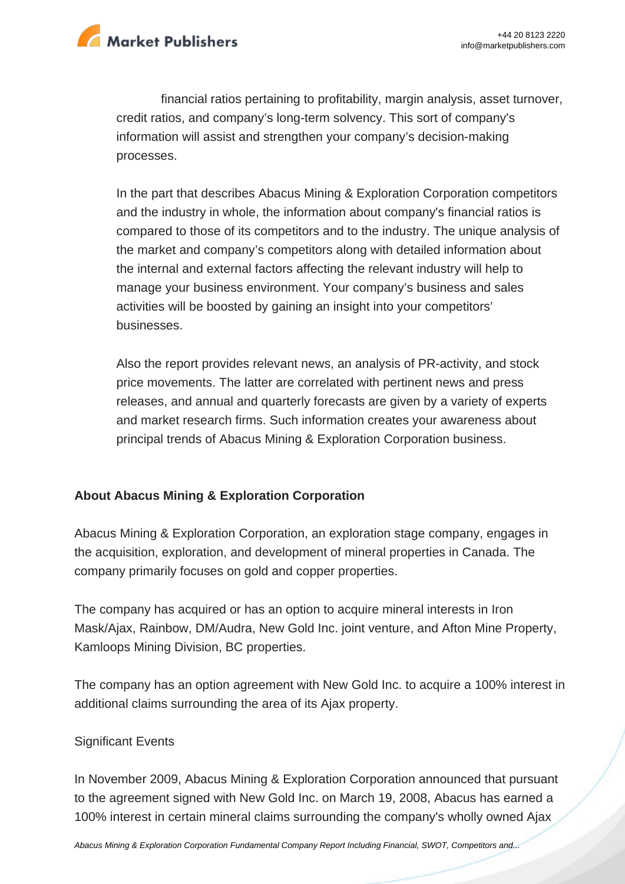

financial ratios pertaining to profitability, margin analysis, asset turnover, credit ratios, and company's long-term solvency. This sort of company's information will assist and strengthen your company's decision-making processes.

In the part that describes Abacus Mining & Exploration Corporation competitors and the industry in whole, the information about company's financial ratios is compared to those of its competitors and to the industry. The unique analysis of the market and company's competitors along with detailed information about the internal and external factors affecting the relevant industry will help to manage your business environment. Your company's business and sales activities will be boosted by gaining an insight into your competitors' businesses.

Also the report provides relevant news, an analysis of PR-activity, and stock price movements. The latter are correlated with pertinent news and press releases, and annual and quarterly forecasts are given by a variety of experts and market research firms. Such information creates your awareness about principal trends of Abacus Mining & Exploration Corporation business.

## **About Abacus Mining & Exploration Corporation**

Abacus Mining & Exploration Corporation, an exploration stage company, engages in the acquisition, exploration, and development of mineral properties in Canada. The company primarily focuses on gold and copper properties.

The company has acquired or has an option to acquire mineral interests in Iron Mask/Ajax, Rainbow, DM/Audra, New Gold Inc. joint venture, and Afton Mine Property, Kamloops Mining Division, BC properties.

The company has an option agreement with New Gold Inc. to acquire a 100% interest in additional claims surrounding the area of its Ajax property.

#### Significant Events

In November 2009, Abacus Mining & Exploration Corporation announced that pursuant to the agreement signed with New Gold Inc. on March 19, 2008, Abacus has earned a 100% interest in certain mineral claims surrounding the company's wholly owned Ajax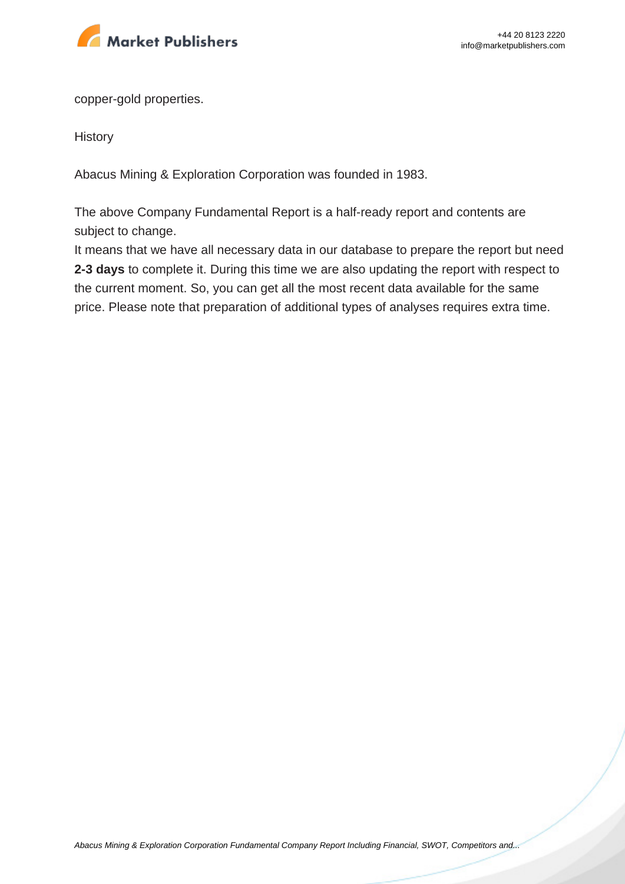

copper-gold properties.

**History** 

Abacus Mining & Exploration Corporation was founded in 1983.

The above Company Fundamental Report is a half-ready report and contents are subject to change.

It means that we have all necessary data in our database to prepare the report but need **2-3 days** to complete it. During this time we are also updating the report with respect to the current moment. So, you can get all the most recent data available for the same price. Please note that preparation of additional types of analyses requires extra time.

[Abacus Mining & Exploration Corporation Fundamental Company Report Including Financial, SWOT, Competitors and...](https://marketpublishers.com/report/industry/metallurgy/abacus_mining_exploration_corporation_swot_analysis_bac.html)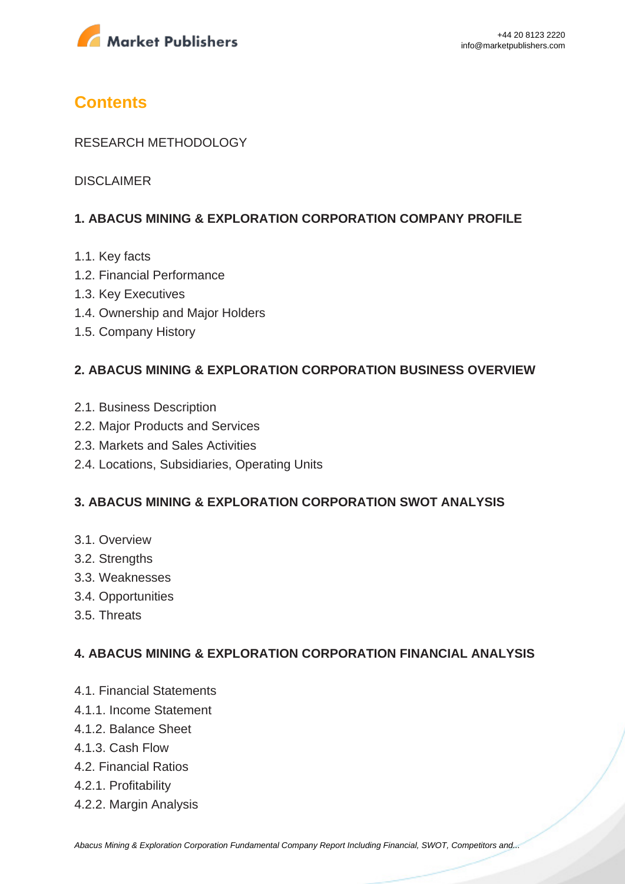

# **Contents**

#### RESEARCH METHODOLOGY

DISCLAIMER

#### **1. ABACUS MINING & EXPLORATION CORPORATION COMPANY PROFILE**

- 1.1. Key facts
- 1.2. Financial Performance
- 1.3. Key Executives
- 1.4. Ownership and Major Holders
- 1.5. Company History

#### **2. ABACUS MINING & EXPLORATION CORPORATION BUSINESS OVERVIEW**

- 2.1. Business Description
- 2.2. Major Products and Services
- 2.3. Markets and Sales Activities
- 2.4. Locations, Subsidiaries, Operating Units

#### **3. ABACUS MINING & EXPLORATION CORPORATION SWOT ANALYSIS**

- 3.1. Overview
- 3.2. Strengths
- 3.3. Weaknesses
- 3.4. Opportunities
- 3.5. Threats

#### **4. ABACUS MINING & EXPLORATION CORPORATION FINANCIAL ANALYSIS**

- 4.1. Financial Statements
- 4.1.1. Income Statement
- 4.1.2. Balance Sheet
- 4.1.3. Cash Flow
- 4.2. Financial Ratios
- 4.2.1. Profitability
- 4.2.2. Margin Analysis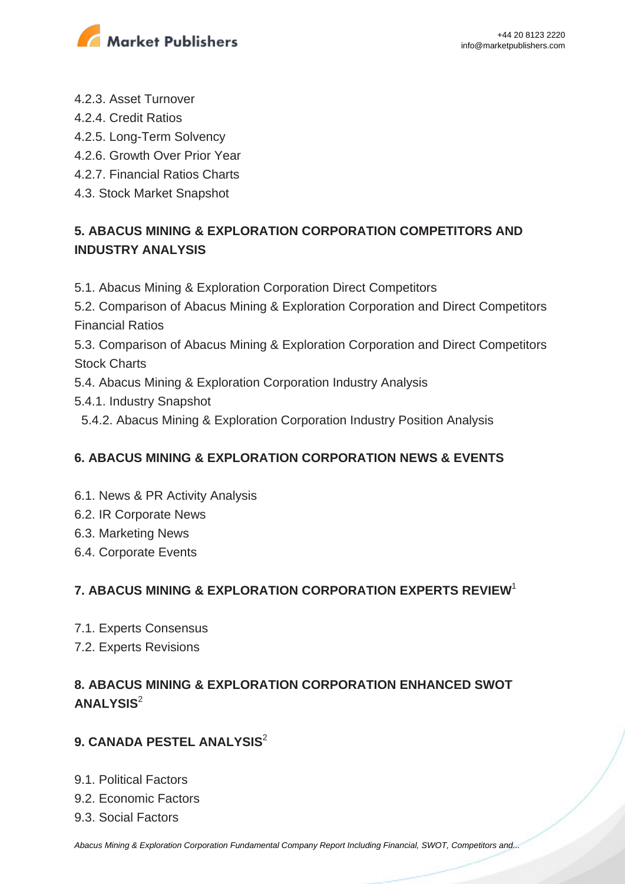

- 4.2.3. Asset Turnover
- 4.2.4. Credit Ratios
- 4.2.5. Long-Term Solvency
- 4.2.6. Growth Over Prior Year
- 4.2.7. Financial Ratios Charts
- 4.3. Stock Market Snapshot

# **5. ABACUS MINING & EXPLORATION CORPORATION COMPETITORS AND INDUSTRY ANALYSIS**

5.1. Abacus Mining & Exploration Corporation Direct Competitors

5.2. Comparison of Abacus Mining & Exploration Corporation and Direct Competitors Financial Ratios

5.3. Comparison of Abacus Mining & Exploration Corporation and Direct Competitors Stock Charts

- 5.4. Abacus Mining & Exploration Corporation Industry Analysis
- 5.4.1. Industry Snapshot
	- 5.4.2. Abacus Mining & Exploration Corporation Industry Position Analysis

## **6. ABACUS MINING & EXPLORATION CORPORATION NEWS & EVENTS**

- 6.1. News & PR Activity Analysis
- 6.2. IR Corporate News
- 6.3. Marketing News
- 6.4. Corporate Events

## **7. ABACUS MINING & EXPLORATION CORPORATION EXPERTS REVIEW**<sup>1</sup>

- 7.1. Experts Consensus
- 7.2. Experts Revisions

# **8. ABACUS MINING & EXPLORATION CORPORATION ENHANCED SWOT ANALYSIS**<sup>2</sup>

## **9. CANADA PESTEL ANALYSIS**<sup>2</sup>

- 9.1. Political Factors
- 9.2. Economic Factors
- 9.3. Social Factors

[Abacus Mining & Exploration Corporation Fundamental Company Report Including Financial, SWOT, Competitors and...](https://marketpublishers.com/report/industry/metallurgy/abacus_mining_exploration_corporation_swot_analysis_bac.html)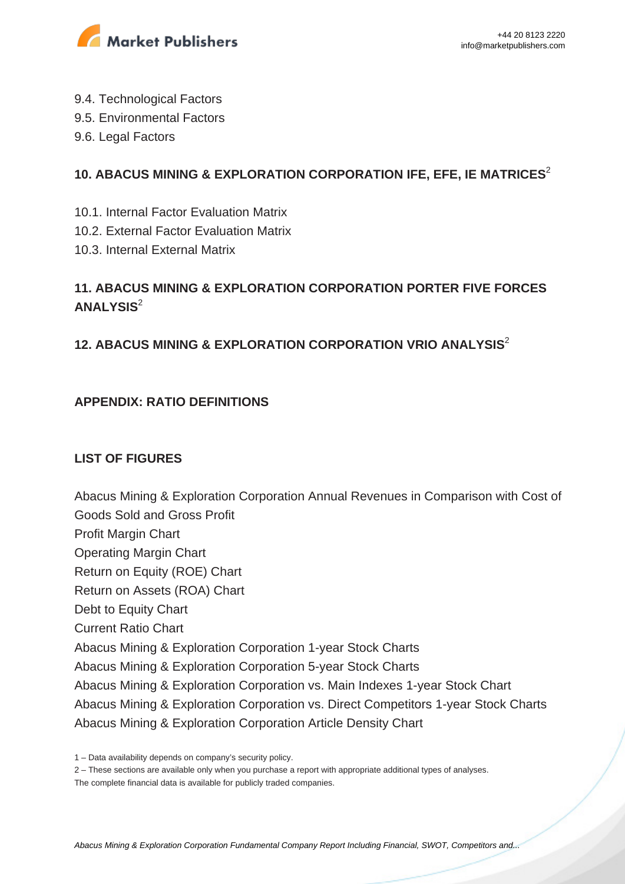

- 9.4. Technological Factors
- 9.5. Environmental Factors
- 9.6. Legal Factors

#### **10. ABACUS MINING & EXPLORATION CORPORATION IFE, EFE, IE MATRICES**<sup>2</sup>

- 10.1. Internal Factor Evaluation Matrix
- 10.2. External Factor Evaluation Matrix
- 10.3. Internal External Matrix

# **11. ABACUS MINING & EXPLORATION CORPORATION PORTER FIVE FORCES ANALYSIS**<sup>2</sup>

## **12. ABACUS MINING & EXPLORATION CORPORATION VRIO ANALYSIS**<sup>2</sup>

#### **APPENDIX: RATIO DEFINITIONS**

#### **LIST OF FIGURES**

Abacus Mining & Exploration Corporation Annual Revenues in Comparison with Cost of Goods Sold and Gross Profit Profit Margin Chart Operating Margin Chart Return on Equity (ROE) Chart Return on Assets (ROA) Chart Debt to Equity Chart Current Ratio Chart Abacus Mining & Exploration Corporation 1-year Stock Charts Abacus Mining & Exploration Corporation 5-year Stock Charts Abacus Mining & Exploration Corporation vs. Main Indexes 1-year Stock Chart Abacus Mining & Exploration Corporation vs. Direct Competitors 1-year Stock Charts Abacus Mining & Exploration Corporation Article Density Chart

<sup>1 –</sup> Data availability depends on company's security policy.

<sup>2 –</sup> These sections are available only when you purchase a report with appropriate additional types of analyses.

The complete financial data is available for publicly traded companies.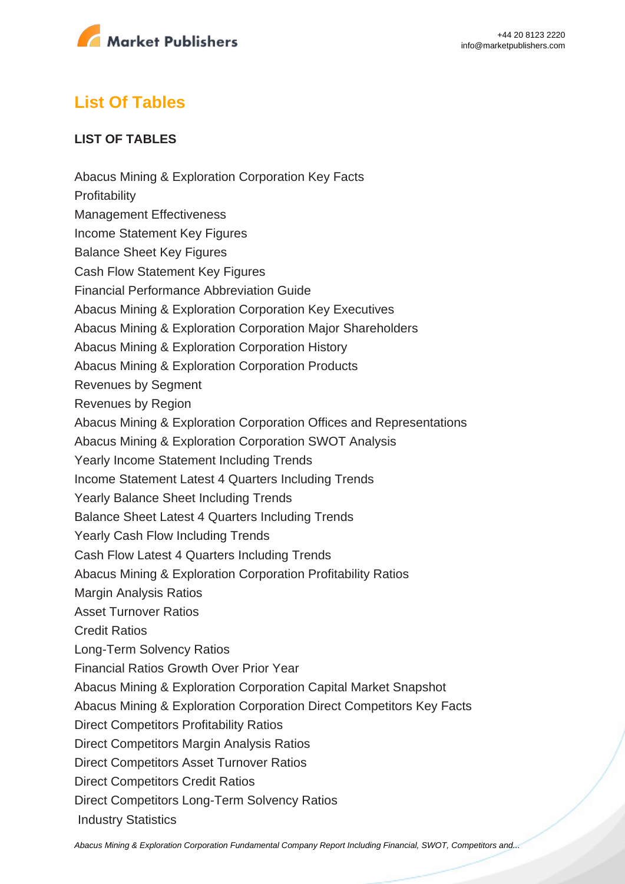

# **List Of Tables**

#### **LIST OF TABLES**

Abacus Mining & Exploration Corporation Key Facts **Profitability** Management Effectiveness Income Statement Key Figures Balance Sheet Key Figures Cash Flow Statement Key Figures Financial Performance Abbreviation Guide Abacus Mining & Exploration Corporation Key Executives Abacus Mining & Exploration Corporation Major Shareholders Abacus Mining & Exploration Corporation History Abacus Mining & Exploration Corporation Products Revenues by Segment Revenues by Region Abacus Mining & Exploration Corporation Offices and Representations Abacus Mining & Exploration Corporation SWOT Analysis Yearly Income Statement Including Trends Income Statement Latest 4 Quarters Including Trends Yearly Balance Sheet Including Trends Balance Sheet Latest 4 Quarters Including Trends Yearly Cash Flow Including Trends Cash Flow Latest 4 Quarters Including Trends Abacus Mining & Exploration Corporation Profitability Ratios Margin Analysis Ratios Asset Turnover Ratios Credit Ratios Long-Term Solvency Ratios Financial Ratios Growth Over Prior Year Abacus Mining & Exploration Corporation Capital Market Snapshot Abacus Mining & Exploration Corporation Direct Competitors Key Facts Direct Competitors Profitability Ratios Direct Competitors Margin Analysis Ratios Direct Competitors Asset Turnover Ratios Direct Competitors Credit Ratios Direct Competitors Long-Term Solvency Ratios Industry Statistics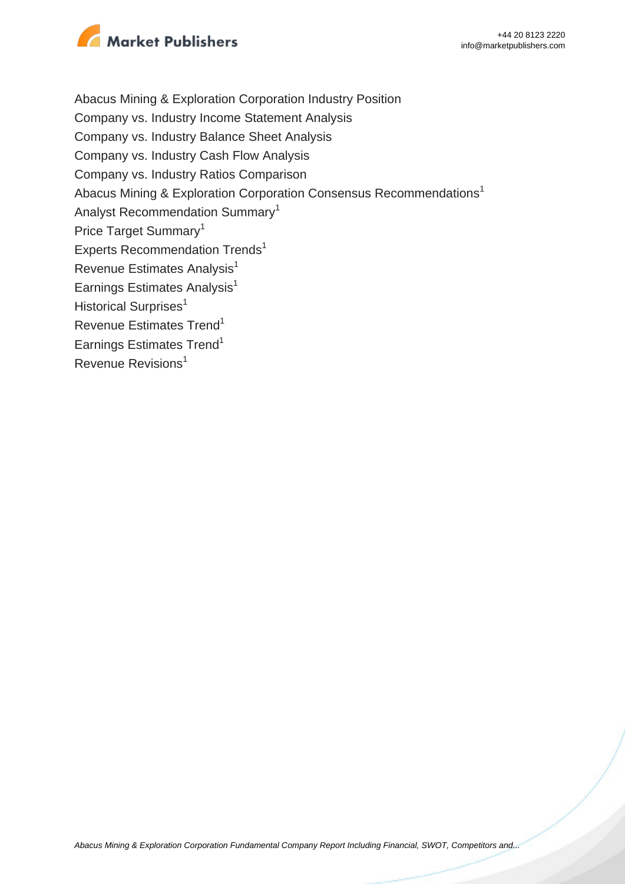

Abacus Mining & Exploration Corporation Industry Position Company vs. Industry Income Statement Analysis Company vs. Industry Balance Sheet Analysis Company vs. Industry Cash Flow Analysis Company vs. Industry Ratios Comparison Abacus Mining & Exploration Corporation Consensus Recommendations<sup>1</sup> Analyst Recommendation Summary<sup>1</sup> Price Target Summary<sup>1</sup> Experts Recommendation Trends<sup>1</sup> Revenue Estimates Analysis<sup>1</sup> Earnings Estimates Analysis $<sup>1</sup>$ </sup> Historical Surprises<sup>1</sup> Revenue Estimates Trend<sup>1</sup> Earnings Estimates Trend<sup>1</sup> Revenue Revisions<sup>1</sup>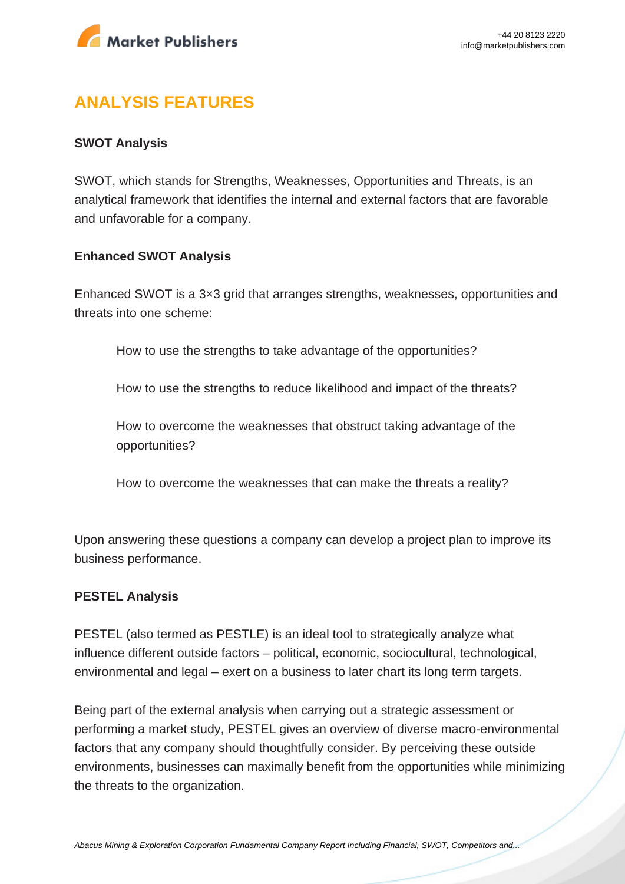

# **ANALYSIS FEATURES**

#### **SWOT Analysis**

SWOT, which stands for Strengths, Weaknesses, Opportunities and Threats, is an analytical framework that identifies the internal and external factors that are favorable and unfavorable for a company.

#### **Enhanced SWOT Analysis**

Enhanced SWOT is a 3×3 grid that arranges strengths, weaknesses, opportunities and threats into one scheme:

How to use the strengths to take advantage of the opportunities?

How to use the strengths to reduce likelihood and impact of the threats?

How to overcome the weaknesses that obstruct taking advantage of the opportunities?

How to overcome the weaknesses that can make the threats a reality?

Upon answering these questions a company can develop a project plan to improve its business performance.

#### **PESTEL Analysis**

PESTEL (also termed as PESTLE) is an ideal tool to strategically analyze what influence different outside factors – political, economic, sociocultural, technological, environmental and legal – exert on a business to later chart its long term targets.

Being part of the external analysis when carrying out a strategic assessment or performing a market study, PESTEL gives an overview of diverse macro-environmental factors that any company should thoughtfully consider. By perceiving these outside environments, businesses can maximally benefit from the opportunities while minimizing the threats to the organization.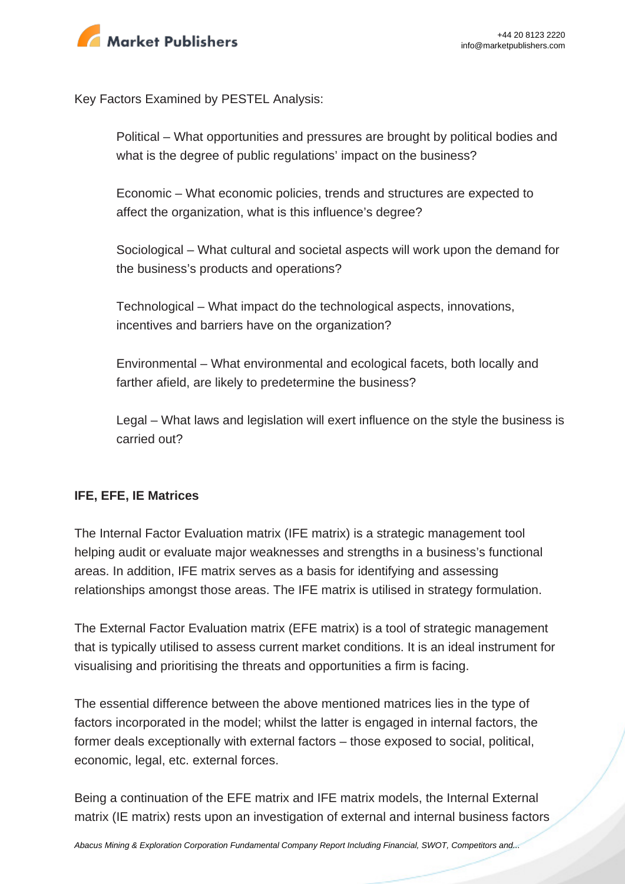

Key Factors Examined by PESTEL Analysis:

Political – What opportunities and pressures are brought by political bodies and what is the degree of public regulations' impact on the business?

Economic – What economic policies, trends and structures are expected to affect the organization, what is this influence's degree?

Sociological – What cultural and societal aspects will work upon the demand for the business's products and operations?

Technological – What impact do the technological aspects, innovations, incentives and barriers have on the organization?

Environmental – What environmental and ecological facets, both locally and farther afield, are likely to predetermine the business?

Legal – What laws and legislation will exert influence on the style the business is carried out?

#### **IFE, EFE, IE Matrices**

The Internal Factor Evaluation matrix (IFE matrix) is a strategic management tool helping audit or evaluate major weaknesses and strengths in a business's functional areas. In addition, IFE matrix serves as a basis for identifying and assessing relationships amongst those areas. The IFE matrix is utilised in strategy formulation.

The External Factor Evaluation matrix (EFE matrix) is a tool of strategic management that is typically utilised to assess current market conditions. It is an ideal instrument for visualising and prioritising the threats and opportunities a firm is facing.

The essential difference between the above mentioned matrices lies in the type of factors incorporated in the model; whilst the latter is engaged in internal factors, the former deals exceptionally with external factors – those exposed to social, political, economic, legal, etc. external forces.

Being a continuation of the EFE matrix and IFE matrix models, the Internal External matrix (IE matrix) rests upon an investigation of external and internal business factors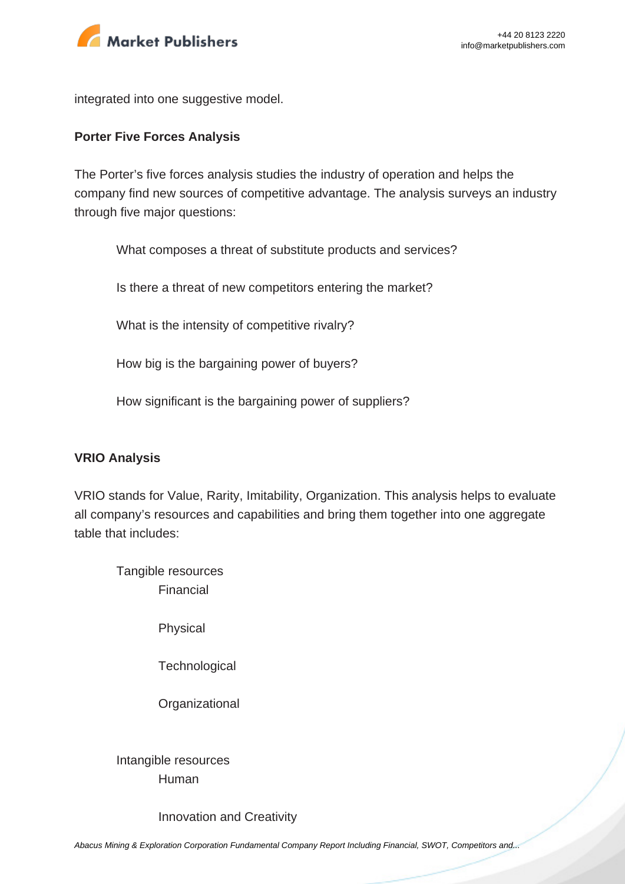

integrated into one suggestive model.

#### **Porter Five Forces Analysis**

The Porter's five forces analysis studies the industry of operation and helps the company find new sources of competitive advantage. The analysis surveys an industry through five major questions:

What composes a threat of substitute products and services?

Is there a threat of new competitors entering the market?

What is the intensity of competitive rivalry?

How big is the bargaining power of buyers?

How significant is the bargaining power of suppliers?

#### **VRIO Analysis**

VRIO stands for Value, Rarity, Imitability, Organization. This analysis helps to evaluate all company's resources and capabilities and bring them together into one aggregate table that includes:

Tangible resources Financial

Physical

**Technological** 

**Organizational** 

Intangible resources Human

Innovation and Creativity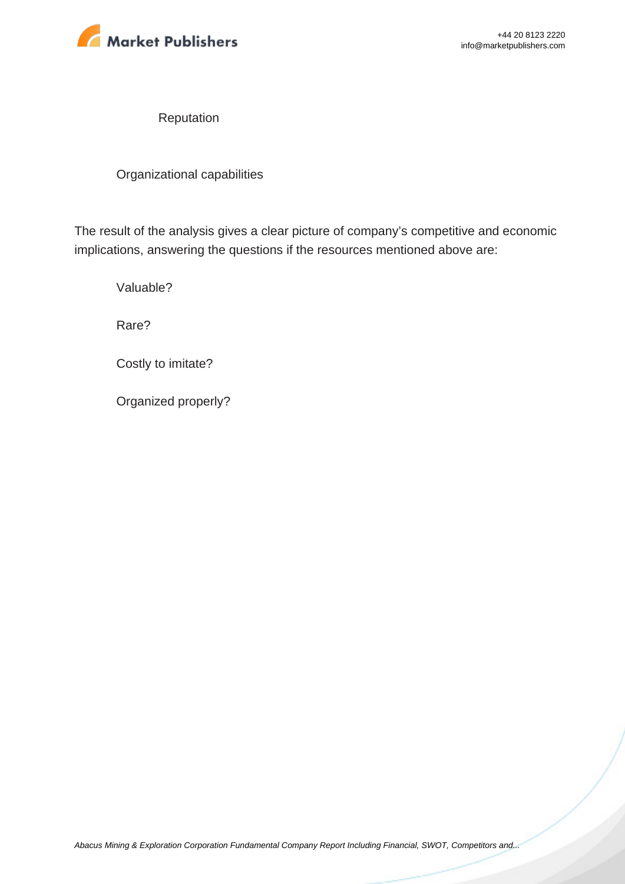

Reputation

Organizational capabilities

The result of the analysis gives a clear picture of company's competitive and economic implications, answering the questions if the resources mentioned above are:

Valuable?

Rare?

Costly to imitate?

Organized properly?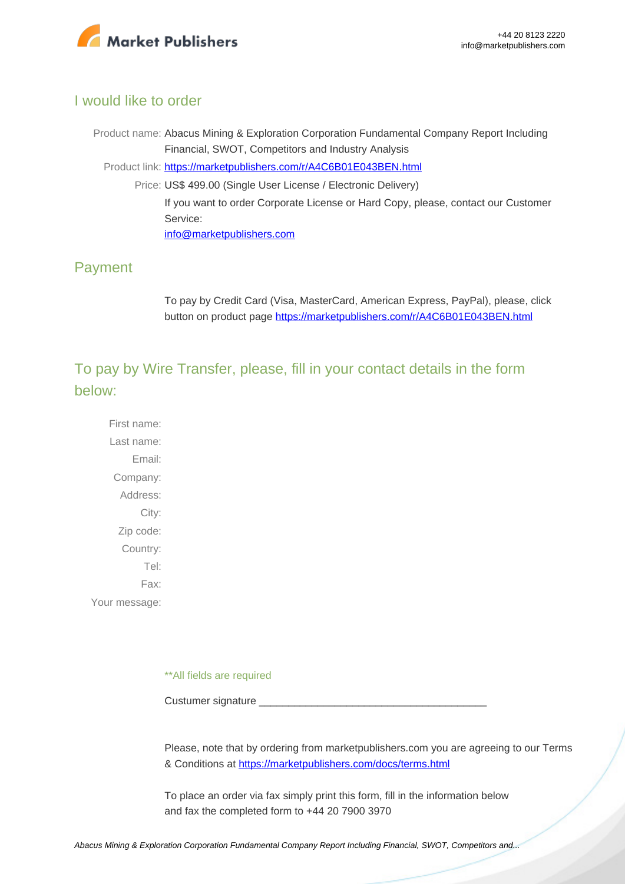

#### I would like to order

Product name: Abacus Mining & Exploration Corporation Fundamental Company Report Including Financial, SWOT, Competitors and Industry Analysis Product link: [https://marketpublishers.com/r/A4C6B01E043BEN.html](https://marketpublishers.com/report/industry/metallurgy/abacus_mining_exploration_corporation_swot_analysis_bac.html) Price: US\$ 499.00 (Single User License / Electronic Delivery) If you want to order Corporate License or Hard Copy, please, contact our Customer Service: [info@marketpublishers.com](mailto:info@marketpublishers.com)

# Payment

To pay by Credit Card (Visa, MasterCard, American Express, PayPal), please, click button on product page [https://marketpublishers.com/r/A4C6B01E043BEN.html](https://marketpublishers.com/report/industry/metallurgy/abacus_mining_exploration_corporation_swot_analysis_bac.html)

To pay by Wire Transfer, please, fill in your contact details in the form below:

First name: Last name: Email: Company: Address: City: Zip code: Country: Tel: Fax: Your message:

\*\*All fields are required

Custumer signature

Please, note that by ordering from marketpublishers.com you are agreeing to our Terms & Conditions at<https://marketpublishers.com/docs/terms.html>

To place an order via fax simply print this form, fill in the information below and fax the completed form to +44 20 7900 3970